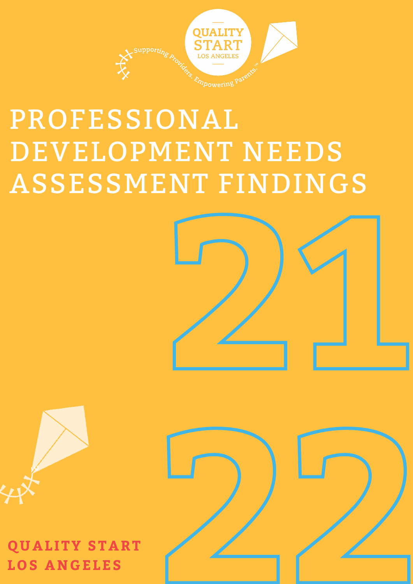

## PROFESSIONAL DEVELOPMENT NEEDS ASSESSMENT FINDINGS





**QUAL ITY START LOS ANGELES**



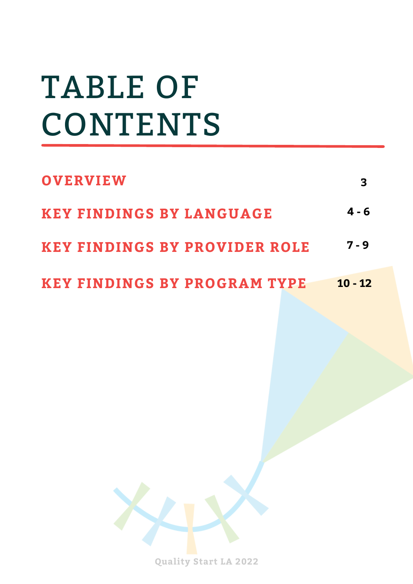# TABLE OF CONTENTS

| <b>OVERVIEW</b>                      | 3         |
|--------------------------------------|-----------|
| <b>KEY FINDINGS BY LANGUAGE</b>      | $4 - 6$   |
| <b>KEY FINDINGS BY PROVIDER ROLE</b> | $7 - 9$   |
| <b>KEY FINDINGS BY PROGRAM TYPE</b>  | $10 - 12$ |



**Quality Start LA 2022**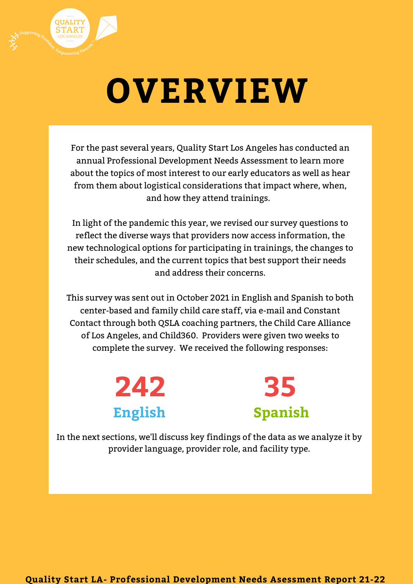

For the past several years, Quality Start Los Angeles has conducted an annual Professional Development Needs Assessment to learn more about the topics of most interest to our early educators as well as hear from them about logistical considerations that impact where, when, and how they attend trainings.

In light of the pandemic this year, we revised our survey questions to reflect the diverse ways that providers now access information, the new technological options for participating in trainings, the changes to their schedules, and the current topics that best support their needs and address their concerns.

This survey was sent out in October 2021 in English and Spanish to both center-based and family child care staff, via e-mail and Constant Contact through both QSLA coaching partners, the Child Care Alliance of Los Angeles, and Child360. Providers were given two weeks to complete the survey. We received the following responses:



In the next sections, we'll discuss key findings of the data as we analyze it by provider language, provider role, and facility type.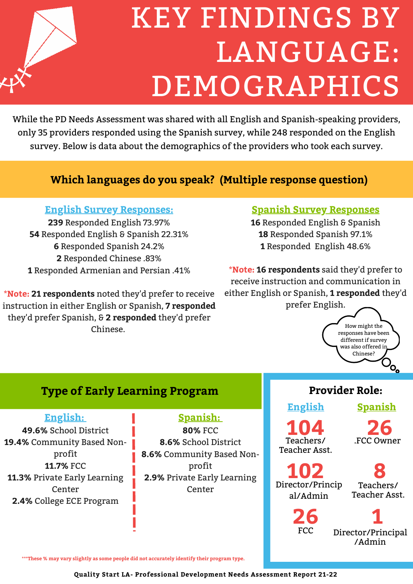

## KEY FINDINGS BY LANGUAGE: DEMOGRAPHICS

While the PD Needs Assessment was shared with all English and Spanish-speaking providers, only 35 providers responded using the Spanish survey, while 248 responded on the English survey. Below is data about the demographics of the providers who took each survey.

## **Which languages do you speak? (Multiple response question)**

### **English Survey Responses:**

 Responded English 73.97% Responded English & Spanish 22.31% Responded Spanish 24.2% Responded Chinese .83% Responded Armenian and Persian .41%

**\*Note: 21 respondents** noted they'd prefer to receive instruction in either English or Spanish, **7 responded** they'd prefer Spanish, & **2 responded** they'd prefer Chinese.

#### **Spanish Survey Responses**

**16** Responded English & Spanish **18** Responded Spanish 97.1% **1** Responded English 48.6%

**\*Note: 16 respondents** said they'd prefer to receive instruction and communication in either English or Spanish, **1 responded** they'd prefer English.



## **Type of Early Learning Program**

**English:**

**49.6%** School District **19.4%** Community Based Nonprofit **11.7%** FCC **11.3%** Private Early Learning Center **2.4%** College ECE Program

## **Spanish:**

**80%** FCC **8.6%** School District **8.6%** Community Based Nonprofit **2.9%** Private Early Learning Center

## **Provider Role:**

**English Spanish**

**104** Teachers/ Teacher Asst.

**26** .FCC Owner

**102** Director/Princip al/Admin

**26**

FCC

**8** Teachers/ Teacher Asst.

**1** Director/Principal /Admin

**\*\*\*These % may vary slightly as some people did not accurately identify their program type.**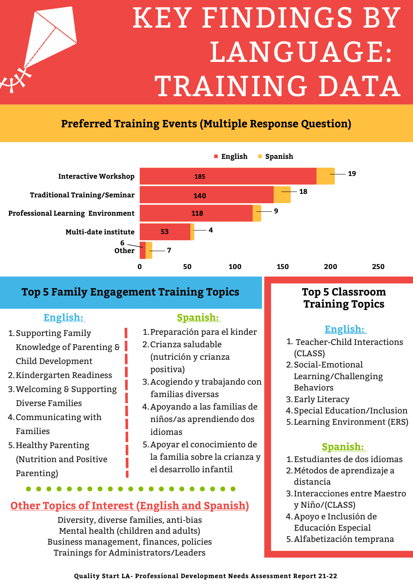

# KEY FINDINGS BY LANGUAGE: TRAINING DATA

## **Preferred Training Events (Multiple Response Question)**



## **Top 5 Family Engagement Training Topics Top 5 Classroom**

## **English:**

- 1. Supporting Family Knowledge of Parenting & Child Development
- 2. Kindergarten Readiness
- Welcoming & Supporting 3. Diverse Families
- 4.Communicating with Families
- 5.Healthy Parenting (Nutrition and Positive Parenting)

### **Spanish:**

- 1. Preparación para el kinder
- 2.Crianza saludable (nutrición y crianza positiva)
- 3. Acogiendo y trabajando con familias diversas
- 4. Apoyando a las familias de niños/as aprendiendo dos idiomas
- 5. Apoyar el conocimiento de la familia sobre la crianza y el desarrollo infantil

## **Other Topics of Interest (English and Spanish)**

Diversity, diverse families, anti-bias Mental health (children and adults) Business management, finances, policies Trainings for Administrators/Leaders

## **Training Topics**

## **English:**

- 1. Teacher-Child Interactions (CLASS)
- 2. Social-Emotional Learning/Challenging Behaviors
- 3. Early Literacy
- 4. Special Education/Inclusion
- 5. Learning Environment (ERS)

## **Spanish:**

- Estudiantes de dos idiomas 1.
- Métodos de aprendizaje a 2. distancia
- Interacciones entre Maestro 3. y Niño/(CLASS)
- 4. Apoyo e Inclusión de Educación Especial
- Alfabetización temprana 5.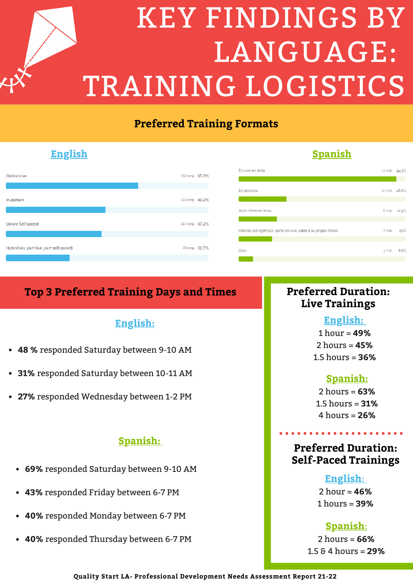

## **Preferred Training Formats**



### **English Spanish**

#### En vivo en línea 33 resp. 94.3% **19** En persona to resp. 28.6% Auto-ritmo en línea 8 resp. 22.9% Híbrido (por ejemplo: parte en vivo, parte a su propio ritmo) 20% 7 resp. Otro  $3$  resp.  $8.6%$

## **Top 3 Preferred Training Days and Times Preferred Duration:**

### **English:**

- **48 %** responded Saturday between 9-10 AM
- **31%** responded Saturday between 10-11 AM
- **27%** responded Wednesday between 1-2 PM

#### **Spanish:**

- **69%** responded Saturday between 9-10 AM
- **43%** responded Friday between 6-7 PM
- **40%** responded Monday between 6-7 PM
- **40%** responded Thursday between 6-7 PM

## **Live Trainings**

### **English:**

1 hour = **49%** 2 hours = **45%** 1.5 hours = **36%**

### **Spanish:**

2 hours = **63%** 1.5 hours = **31%** 4 hours = **26%**

### **Preferred Duration: Self-Paced Trainings**

#### **English**:

2 hour = **46%** 1 hours = **39%**

### **Spanish**:

2 hours = **66%** 1.5 & 4 hours = **29%**

**Quality Start LA- Professional Development Needs Assessment Report 21-22**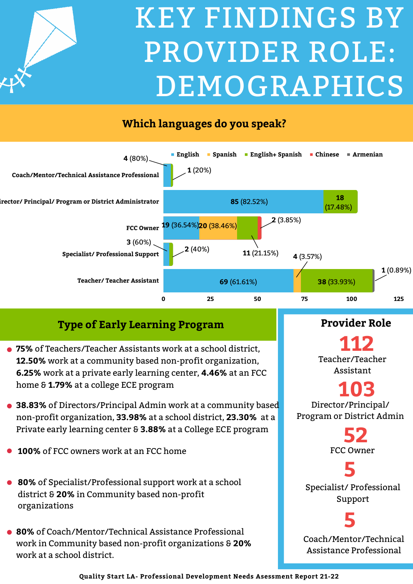

## KEY FINDINGS BY PROVIDER ROLE: DEMOGRAPHICS

## **Which languages do you speak?**



## **Type of Early Learning Program**

- **75%** of Teachers/Teacher Assistants work at a school district, **12.50%** work at a community based non-profit organization, **6.25%** work at a private early learning center, **4.46%** at an FCC home & **1.79%** at a college ECE program
- **38.83%** of Directors/Principal Admin work at a community based non-profit organization, **33.98%** at a school district, **23.30%** at a Private early learning center & **3.88%** at a College ECE program
- **100%** of FCC owners work at an FCC home
- **80%** of Specialist/Professional support work at a school district & **20%** in Community based non-profit organizations
- **80%** of Coach/Mentor/Technical Assistance Professional work in Community based non-profit organizations & **20%** work at a school district.

**Provider Role**

**112** Teacher/Teacher Assistant

**103** Director/Principal/ Program or District Admin

> **52** FCC Owner

**5** Specialist/ Professional Support

## **5**

Coach/Mentor/Technical Assistance Professional

**Quality Start LA- Professional Development Needs Asessment Report 21-22**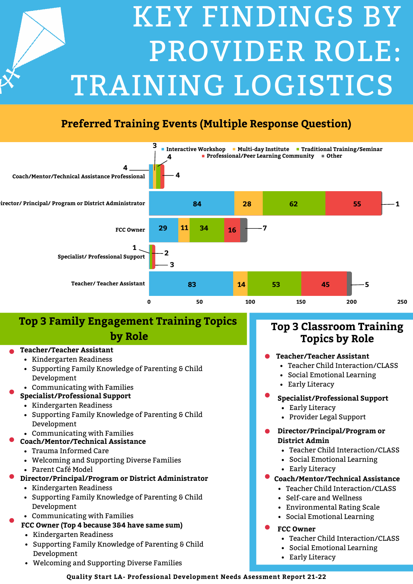# KEY FINDINGS BY PROVIDER ROLE: TRAINING LOGISTICS

## Preferred Training Formats (Multiple Response Question) **Preferred Training Events (Multiple Response Question)**



## **Top 3 Family Engagement Training Topics by Role**

#### **Teacher/Teacher Assistant**

- Kindergarten Readiness
- Supporting Family Knowledge of Parenting & Child Development
- Communicating with Families

#### **Specialist/Professional Support**

- Kindergarten Readiness
- Supporting Family Knowledge of Parenting & Child Development
- Communicating with Families
- **Coach/Mentor/Technical Assistance**
	- Trauma Informed Care
	- Welcoming and Supporting Diverse Families
		- Parent Café Model
- **Director/Principal/Program or District Administrator**
	- Kindergarten Readiness
	- Supporting Family Knowledge of Parenting & Child Development
	- Communicating with Families
- **FCC Owner (Top 4 because 3&4 have same sum)**
	- Kindergarten Readiness
	- Supporting Family Knowledge of Parenting & Child Development
	- Welcoming and Supporting Diverse Families

### **Top 3 Classroom Training Topics by Role**

#### **Teacher/Teacher Assistant**

- Teacher Child Interaction/CLASS
- Social Emotional Learning
- Early Literacy

#### **Specialist/Professional Support**

- Early Literacy
- Provider Legal Support

#### **Director/Principal/Program or District Admin**

- Teacher Child Interaction/CLASS
- Social Emotional Learning
- Early Literacy
- **Coach/Mentor/Technical Assistance**
	- Teacher Child Interaction/CLASS
	- Self-care and Wellness
	- Environmental Rating Scale
	- Social Emotional Learning
- **FCC Owner**
	- Teacher Child Interaction/CLASS
	- Social Emotional Learning
	- Early Literacy

**Quality Start LA- Professional Development Needs Asessment Report 21-22**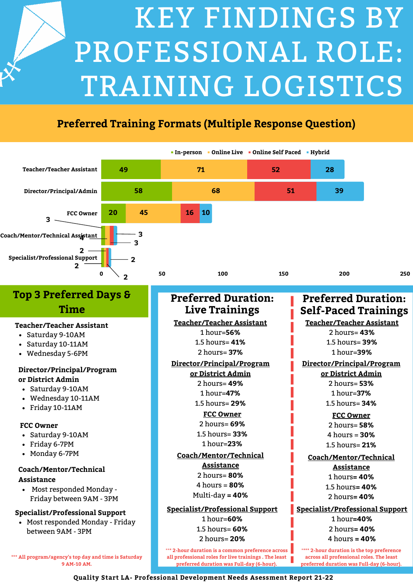

## **Preferred Training Formats (Multiple Response Question)**

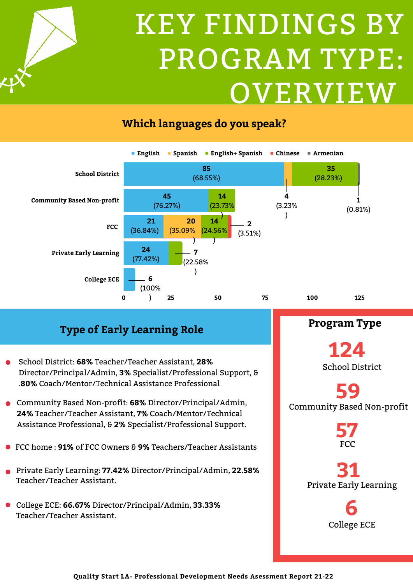## KEY FINDINGS BY PROGRAM TYPE: OVERVIEW





## **Type of Early Learning Role**

- School District: **68%** Teacher/Teacher Assistant, **28%** Director/Principal/Admin, **3%** Specialist/Professional Support, & .**80%** Coach/Mentor/Technical Assistance Professional
- Community Based Non-profit: **68%** Director/Principal/Admin, **24%** Teacher/Teacher Assistant, **7%** Coach/Mentor/Technical Assistance Professional, & **2%** Specialist/Professional Support.
- FCC home : **91%** of FCC Owners & **9%** Teachers/Teacher Assistants
- Private Early Learning: **77.42%** Director/Principal/Admin, **22.58%** Teacher/Teacher Assistant.
- College ECE: **66.67%** Director/Principal/Admin, **33.33%** Teacher/Teacher Assistant.

**Program Type**

**124** School District

## **59** Community Based Non-profit

**57** FCC

**31** Private Early Learning

> **6** College ECE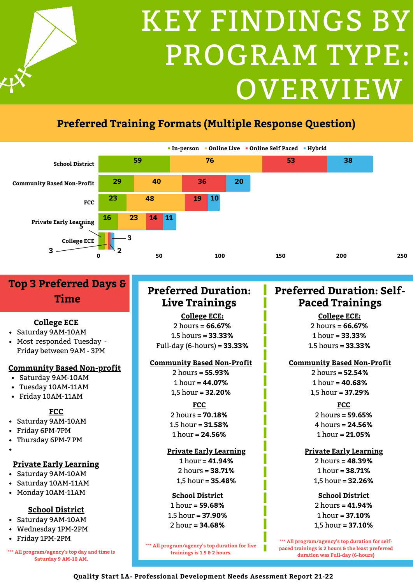

## **Preferred Training Formats (Multiple Response Question)**



## **Top 3 Preferred Days & Time**

#### **College ECE**

- Saturday 9AM-10AM
- Most responded Tuesday Friday between 9AM - 3PM

#### **Community Based Non-profit**

- Saturday 9AM-10AM
- Tuesday 10AM-11AM
- Friday 10AM-11AM

#### **FCC**

- Saturday 9AM-10AM
- Friday 6PM-7PM
- Thursday 6PM-7 PM
- 

#### **Private Early Learning**

- Saturday 9AM-10AM
- Saturday 10AM-11AM
- Monday 10AM-11AM

#### **School District**

- Saturday 9AM-10AM
- Wednesday 1PM-2PM
- Friday 1PM-2PM

**\*\*\* All program/agency's top day and time is Saturday 9 AM-10 AM.**

## **Preferred Duration: Live Trainings**

**College ECE:** 2 hours **= 66.67%** 1.5 hours **= 33.33%** Full-day (6-hours) **= 33.33%**

#### **Community Based Non-Profit**

2 hours **= 55.93%** 1 hour **= 44.07%** 1,5 hour **= 32.20%**

#### **FCC**

2 hours **= 70.18%** 1.5 hour **= 31.58%** 1 hour **= 24.56%**

#### **Private Early Learning**

1 hour **= 41.94%** 2 hours **= 38.71%** 1,5 hour **= 35.48%**

#### **School District**

1 hour **= 59.68%** 1.5 hour **= 37.90%** 2 hour **= 34.68%**

\*\***\* All program/agency's top duration for live trainings is 1.5 & 2 hours.**

### **Preferred Duration: Self-Paced Trainings**

**College ECE:**

2 hours **= 66.67%** 1 hour **= 33.33%** 1.5 hours **= 33.33%**

#### **Community Based Non-Profit**

2 hours **= 52.54%** 1 hour **= 40.68%** 1,5 hour **= 37.29%**

#### **FCC**

2 hours **= 59.65%** 4 hours **= 24.56%** 1 hour **= 21.05%**

#### **Private Early Learning**

2 hours **= 48.39%** 1 hour **= 38.71%** 1,5 hour **= 32.26%**

#### **School District**

2 hours **= 41.94%** 1 hour **= 37.10%** 1,5 hour **= 37.10%**

\*\***\* All program/agency's top duration for selfpaced trainings is 2 hours & the least preferred duration was Full-day (6-hours)**

#### **Quality Start LA- Professional Development Needs Asessment Report 21-22**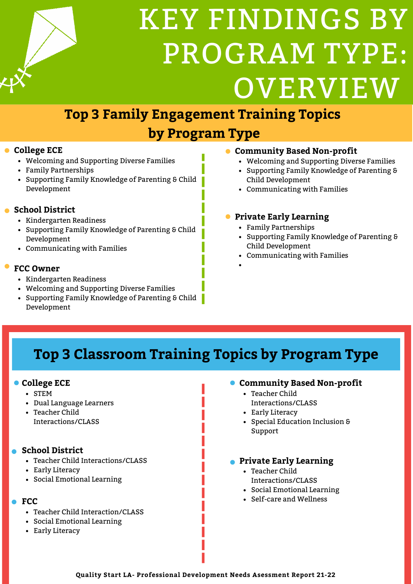

## KEY FINDINGS BY PROGRAM TYPE: OVERVIEW

## **Top 3 Family Engagement Training Topics**

## **by Program Type**

#### **College ECE**

- Welcoming and Supporting Diverse Families
- Family Partnerships
- Supporting Family Knowledge of Parenting & Child Development

#### **School District**

- Kindergarten Readiness
- Supporting Family Knowledge of Parenting & Child Development
- Communicating with Families

#### **FCC Owner**

- Kindergarten Readiness
- Welcoming and Supporting Diverse Families
- Supporting Family Knowledge of Parenting & Child Development

#### **Community Based Non-profit**

- Welcoming and Supporting Diverse Families
- Supporting Family Knowledge of Parenting & Child Development
- Communicating with Families

#### **Private Early Learning**

- Family Partnerships
- Supporting Family Knowledge of Parenting & Child Development
- Communicating with Families
- 

## **Top 3 Classroom Training Topics by Program Type**

#### **College ECE**

- STEM
- Dual Language Learners
- Teacher Child Interactions/CLASS

#### **School District**

- Teacher Child Interactions/CLASS
- Early Literacy
- Social Emotional Learning

#### **FCC**

- Teacher Child Interaction/CLASS
- Social Emotional Learning
- Early Literacy

#### **Community Based Non-profit**

- Teacher Child Interactions/CLASS
- Early Literacy
- Special Education Inclusion & Support

#### **Private Early Learning**

- Teacher Child Interactions/CLASS
- Social Emotional Learning
- Self-care and Wellness